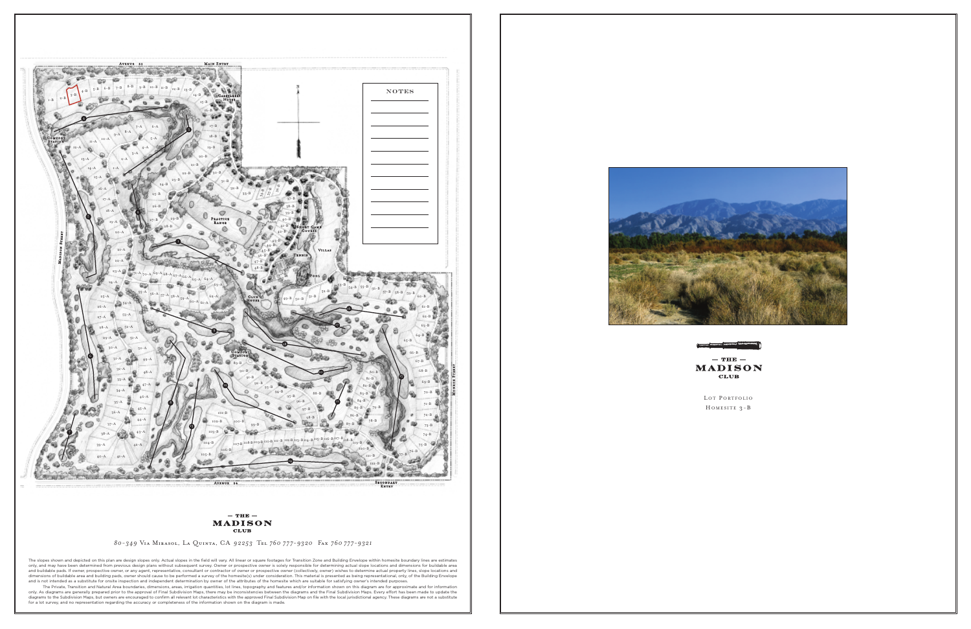

LOT PORTFOLIO H OMESITE 3-B



*80-349* Via Mirasol, La Quinta, CA *92253* Tel *760 777-9320* Fax *760 777-9321*

The slopes shown and depicted on this plan are design slopes only. Actual slopes in the field will vary. All linear or square footages for Transition Zone and Building Envelope within homesite boundary lines are estimates only, and may have been determined from previous design plans without subsequent survey. Owner or prospective owner is solely responsible for determining actual slope locations and dimensions for buildable area<br>and buildab

dimensions of buildable area and building pads, owner should cause to be performed a survey of the homesite(s) under consideration. This material is presented as being representational, only, of the Building Envelope<br>and i